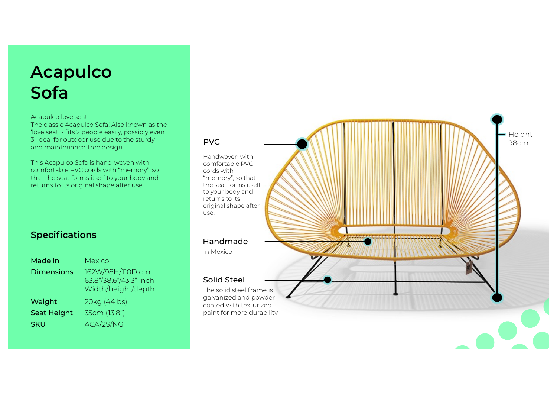# **Acapulc o Sof a**

#### Acapulco love seat

The classic Acapulco Sofa! Also known as the 'love seat' - fits 2 people easily, possibly even 3. Ideal for outdoor use due to the sturdy and maintenance-free design.

This Acapulco Sofa is hand-woven with comfortable PVC cords with "memory", so that the seat forms itself to your body and returns to its original shape after use.

### **Spec i fi c a t i o n s**

| Made in            | Mexico                                                           |
|--------------------|------------------------------------------------------------------|
| <b>Dimensions</b>  | 162W/98H/110D cm<br>63.8"/38.6"/43.3" inch<br>Width/height/depth |
| Weight             | 20kg (44lbs)                                                     |
| <b>Seat Height</b> | 35cm (13.8")                                                     |
| <b>SKU</b>         | ACA/2S/NG                                                        |

#### P V

Handwoven with c o m f o r t a b l e P V C cords with "memory", so that , the seat forms itself to your body and returns to its original shape after use.

#### H a n dmade

In M e x i c o

#### Solid Steel

The solid steel frame is galvanized and powdercoated with texturized paint for more durability .